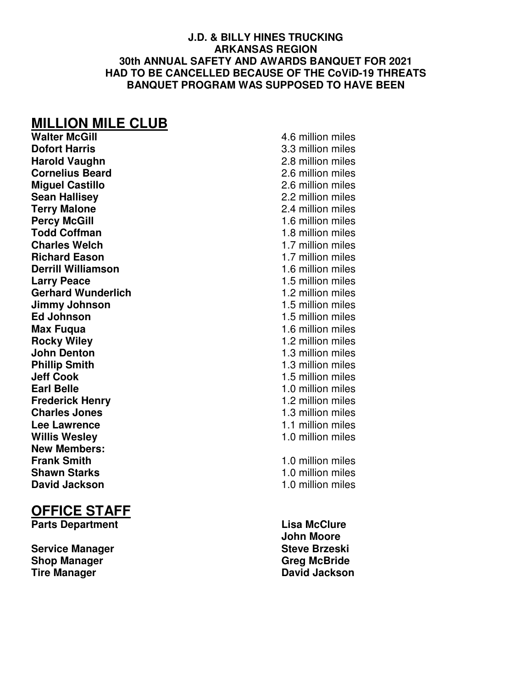#### **J.D. & BILLY HINES TRUCKING ARKANSAS REGION 30th ANNUAL SAFETY AND AWARDS BANQUET FOR 2021 HAD TO BE CANCELLED BECAUSE OF THE CoViD-19 THREATS BANQUET PROGRAM WAS SUPPOSED TO HAVE BEEN**

# **MILLION MILE CLUB**<br>Walter McGill

**Walter McGill Walter McGill 1.6** million miles<br> **Dofort Harris 1.6** million miles **Harold Vaughn** 2.8 million miles **Cornelius Beard** 2.6 million miles **Miguel Castillo**<br> **Sean Hallisev**<br> **2.2 million miles**<br> **2.2 million miles Terry Malone 2.4 million miles**<br> **Percy McGill Contract Contract Contract Contract Contract Contract Contract Contract Contract Contract Contract Contract Contract Contract Contract Contract Contract Contract Contract Todd Coffman** 1.8 million miles **Charles Welch 1.7 million miles<br>
<b>Richard Eason** 1.7 million miles<br>
1.7 million miles **Derrill Williamson** 1.6 million miles **Larry Peace** 1.5 million miles **Gerhard Wunderlich** 1.2 million miles **Jimmy Johnson** 1.5 million miles **Ed Johnson** 1.5 million miles **Max Fuqua** 1.6 million miles **Rocky Wiley** 1.2 million miles **John Denton** 1.3 million miles **Phillip Smith 1.3 million miles Jeff Cook** 1.5 million miles **Earl Belle** 1.0 million miles **Frederick Henry 1.2 million miles**<br> **Charles Jones** 1.3 million miles **Lee Lawrence** 1.1 million miles **Willis Wesley** 1.0 million miles **New Members: Shawn Starks** 1.0 million miles **David Jackson** 1.0 million miles

#### **OFFICE STAFF**

**Parts Department Contract Contract Contract Contract Contract Contract Contract Contract Contract Contract Contract Contract Contract Contract Contract Contract Contract Contract Contract Contract Contract Contract Contra** 

**Service Manager Steve Brzeski Shop Manager Greg McBride**  Greg McBride **Tire Manager Construction Construction Construction Construction David Jackson** 

**Dofort Harris** 3.3 million miles **2.2 million miles 1.6 million miles 1.7 million miles Charles Jones** 1.3 million miles **1.0 million miles** 

 **John Moore**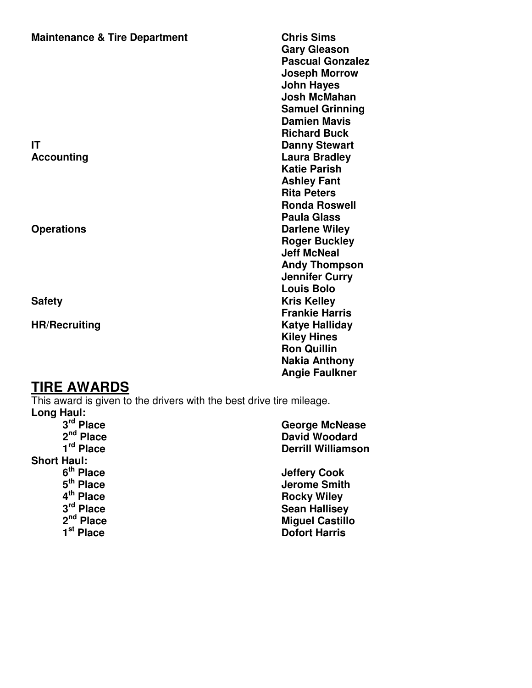#### **Maintenance & Tire Department Chris Sims**

#### **TIRE AWARDS**

This award is given to the drivers with the best drive tire mileage. Long Haul:<br><sup>2rd</sup> Bloop  **3rd Place George McNease** 

| J.<br>Piace.          | George McNease            |
|-----------------------|---------------------------|
| 2 <sup>nd</sup> Place | <b>David Woodard</b>      |
| 1 <sup>rd</sup> Place | <b>Derrill Williamson</b> |
| <b>Short Haul:</b>    |                           |
| 6 <sup>th</sup> Place | <b>Jeffery Cook</b>       |
| 5 <sup>th</sup> Place | <b>Jerome Smith</b>       |
| 4 <sup>th</sup> Place | <b>Rocky Wiley</b>        |
| 3 <sup>rd</sup> Place | <b>Sean Hallisey</b>      |
| 2 <sup>nd</sup> Place | <b>Miguel Castillo</b>    |
| 1 <sup>st</sup> Place | <b>Dofort Harris</b>      |
|                       |                           |

 **Gary Gleason Pascual Gonzalez Joseph Morrow John Hayes Josh McMahan Samuel Grinning Damien Mavis Richard Buck 19 (1998)**<br> **Richard Buck 19 (1998)**<br> **Richard Buck 19 (1999)**<br> **Richard Buck 19 (1999) Danny Stewart** Accounting **Accounting Contract Contract Accounting Laura Bradley Katie Parish Ashley Fant Rita Peters Ronda Roswell Paula Glass Operations** Darlene Wiley  **Roger Buckley Jeff McNeal Andy Thompson Jennifer Curry Louis Bolo Safety Kris Kelley Frankie Harris HR/Recruiting Katye Halliday Kiley Hines Ron Quillin Nakia Anthony Angie Faulkner**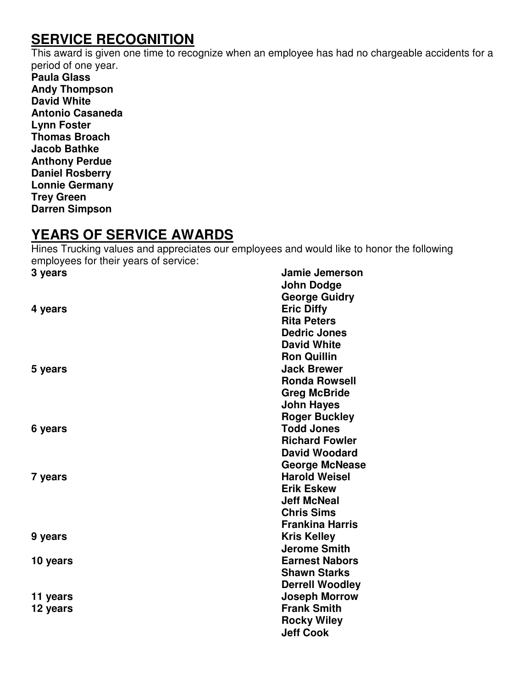#### **SERVICE RECOGNITION**

This award is given one time to recognize when an employee has had no chargeable accidents for a period of one year.

**Paula Glass Andy Thompson David White Antonio Casaneda Lynn Foster Thomas Broach Jacob Bathke Anthony Perdue Daniel Rosberry Lonnie Germany Trey Green Darren Simpson** 

#### **YEARS OF SERVICE AWARDS**

Hines Trucking values and appreciates our employees and would like to honor the following employees for their years of service:

| 3 years  | Jamie Jemerson         |
|----------|------------------------|
|          | <b>John Dodge</b>      |
|          | <b>George Guidry</b>   |
| 4 years  | <b>Eric Diffy</b>      |
|          | <b>Rita Peters</b>     |
|          | <b>Dedric Jones</b>    |
|          | <b>David White</b>     |
|          | <b>Ron Quillin</b>     |
| 5 years  | <b>Jack Brewer</b>     |
|          | <b>Ronda Rowsell</b>   |
|          | <b>Greg McBride</b>    |
|          | <b>John Hayes</b>      |
|          | <b>Roger Buckley</b>   |
| 6 years  | <b>Todd Jones</b>      |
|          | <b>Richard Fowler</b>  |
|          | <b>David Woodard</b>   |
|          | <b>George McNease</b>  |
| 7 years  | <b>Harold Weisel</b>   |
|          | <b>Erik Eskew</b>      |
|          | <b>Jeff McNeal</b>     |
|          | <b>Chris Sims</b>      |
|          | <b>Frankina Harris</b> |
| 9 years  | <b>Kris Kelley</b>     |
|          | <b>Jerome Smith</b>    |
| 10 years | <b>Earnest Nabors</b>  |
|          | <b>Shawn Starks</b>    |
|          | <b>Derrell Woodley</b> |
| 11 years | <b>Joseph Morrow</b>   |
| 12 years | <b>Frank Smith</b>     |
|          | <b>Rocky Wiley</b>     |
|          | <b>Jeff Cook</b>       |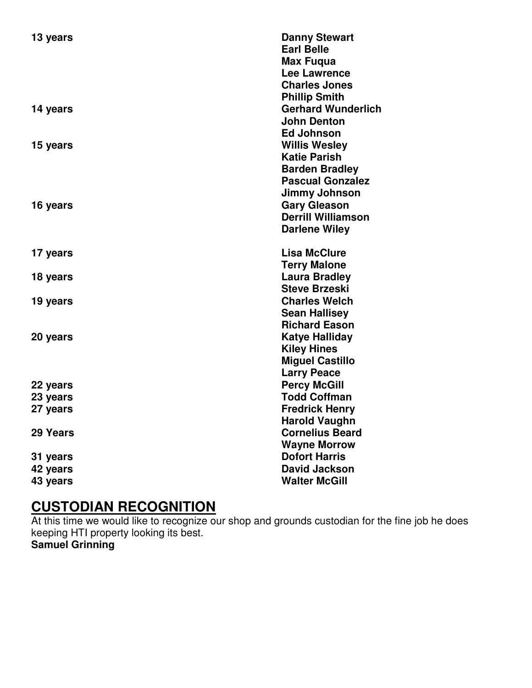| 13 years | <b>Danny Stewart</b>      |
|----------|---------------------------|
|          | <b>Earl Belle</b>         |
|          | <b>Max Fugua</b>          |
|          | <b>Lee Lawrence</b>       |
|          | <b>Charles Jones</b>      |
|          | <b>Phillip Smith</b>      |
| 14 years | <b>Gerhard Wunderlich</b> |
|          | <b>John Denton</b>        |
|          | <b>Ed Johnson</b>         |
| 15 years | <b>Willis Wesley</b>      |
|          | <b>Katie Parish</b>       |
|          | <b>Barden Bradley</b>     |
|          | <b>Pascual Gonzalez</b>   |
|          | Jimmy Johnson             |
| 16 years | <b>Gary Gleason</b>       |
|          | <b>Derrill Williamson</b> |
|          | <b>Darlene Wiley</b>      |
| 17 years | <b>Lisa McClure</b>       |
|          | <b>Terry Malone</b>       |
| 18 years | <b>Laura Bradley</b>      |
|          | <b>Steve Brzeski</b>      |
| 19 years | <b>Charles Welch</b>      |
|          | <b>Sean Hallisey</b>      |
|          | <b>Richard Eason</b>      |
| 20 years | Katye Halliday            |
|          | <b>Kiley Hines</b>        |
|          | <b>Miguel Castillo</b>    |
|          | <b>Larry Peace</b>        |
| 22 years | <b>Percy McGill</b>       |
| 23 years | <b>Todd Coffman</b>       |
| 27 years | <b>Fredrick Henry</b>     |
|          | <b>Harold Vaughn</b>      |
| 29 Years | <b>Cornelius Beard</b>    |
|          | <b>Wayne Morrow</b>       |
| 31 years | <b>Dofort Harris</b>      |
| 42 years | <b>David Jackson</b>      |
| 43 years | <b>Walter McGill</b>      |

## **CUSTODIAN RECOGNITION**

At this time we would like to recognize our shop and grounds custodian for the fine job he does keeping HTI property looking its best.

**Samuel Grinning**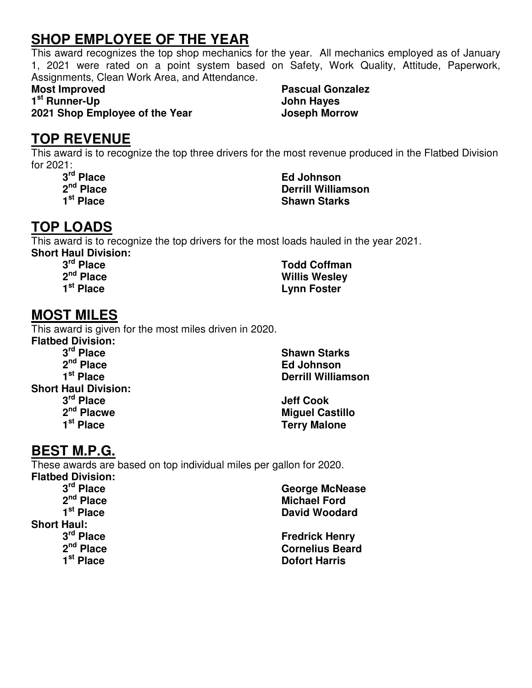#### **SHOP EMPLOYEE OF THE YEAR**

This award recognizes the top shop mechanics for the year. All mechanics employed as of January 1, 2021 were rated on a point system based on Safety, Work Quality, Attitude, Paperwork, Assignments, Clean Work Area, and Attendance.

**1 st Runner-Up John Hayes** 

**2021 Shop Employee of the Year Joseph Morrow**

**Most Improved Contract Contract Contract Pascual Gonzalez Algebra 2016** 

#### **TOP REVENUE**

This award is to recognize the top three drivers for the most revenue produced in the Flatbed Division for 2021:

3<sup>rd</sup> Place<br>2<sup>nd</sup> Place

*<u>Ed Johnson</u>*  **2nd Place Derrill Williamson Shawn Starks** 

### **TOP LOADS**

This award is to recognize the top drivers for the most loads hauled in the year 2021. **Short Haul Division:** 

#### **3rd Place Todd Coffman 2nd Place Willis Wesley Lynn Foster**

#### **MOST MILES**

This award is given for the most miles driven in 2020.

**Flatbed Division: 3<sup>rd</sup> Place Shawn Starks 2<sup>nd</sup> Place Shawn Starks 2**<sup>nd</sup> Place Shawn Starks **2**<sup>nd</sup> Place  **2nd Place Ed Johnson Short Haul Division:**  3<sup>rd</sup> Place<br>2<sup>nd</sup> Placwe

**Derrill Williamson** 

**Jeff Cook** 2<sup>nd</sup> Placwe 2<sup>nd</sup> Placwe Miguel Castillo **Miguel Castillo** 2<sup>nd</sup> Place **Terry Malone** 

#### **BEST M.P.G.**

These awards are based on top individual miles per gallon for 2020. **Flatbed Division:** 

**Short Haul:**<br><sup>3rd</sup> Place

 **3rd Place George McNease**  2<sup>nd</sup> Place Michael Ford<br>
1<sup>st</sup> Place **Michael Ford David Woodard** 

 **3<sup>rd</sup> Place Fredrick Henry 2<sup>nd</sup> Place <b>Fredrick Henry** 2<sup>nd</sup> Place  **2nd Place Cornelius Beard Dofort Harris**